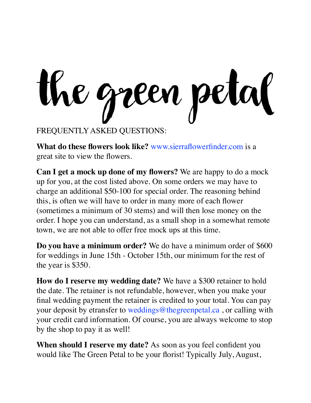the green petal

FREQUENTLY ASKED QUESTIONS:

**What do these flowers look like?** www.sierraflowerfinder.com is a great site to view the flowers.

**Can I get a mock up done of my flowers?** We are happy to do a mock up for you, at the cost listed above. On some orders we may have to charge an additional \$50-100 for special order. The reasoning behind this, is often we will have to order in many more of each flower (sometimes a minimum of 30 stems) and will then lose money on the order. I hope you can understand, as a small shop in a somewhat remote town, we are not able to offer free mock ups at this time.

**Do you have a minimum order?** We do have a minimum order of \$600 for weddings in June 15th - October 15th, our minimum for the rest of the year is \$350.

**How do I reserve my wedding date?** We have a \$300 retainer to hold the date. The retainer is not refundable, however, when you make your final wedding payment the retainer is credited to your total. You can pay your deposit by etransfer to weddings@thegreenpetal.ca , or calling with your credit card information. Of course, you are always welcome to stop by the shop to pay it as well!

**When should I reserve my date?** As soon as you feel confident you would like The Green Petal to be your florist! Typically July, August,